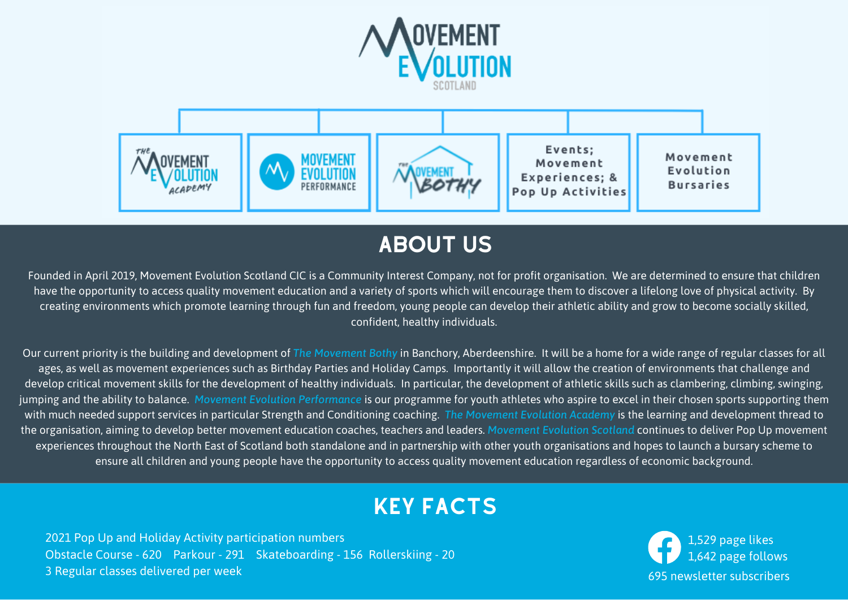



### ABOUT US

Founded in April 2019, Movement Evolution Scotland CIC is a Community Interest Company, not for profit organisation. We are determined to ensure that children have the opportunity to access quality movement education and a variety of sports which will encourage them to discover a lifelong love of physical activity. By creating environments which promote learning through fun and freedom, young people can develop their athletic ability and grow to become socially skilled, confident, healthy individuals.

Our current priority is the building and development of *The Movement Bothy* in Banchory, Aberdeenshire. It will be a home for a wide range of regular classes for all ages, as well as movement experiences such as Birthday Parties and Holiday Camps. Importantly it will allow the creation of environments that challenge and develop critical movement skills for the development of healthy individuals. In particular, the development of athletic skills such as clambering, climbing, swinging, jumping and the ability to balance. *Movement Evolution Performance* is our programme for youth athletes who aspire to excel in their chosen sports supporting them with much needed support services in particular Strength and Conditioning coaching. *The Movement Evolution Academy* is the learning and development thread to the organisation, aiming to develop better movement education coaches, teachers and leaders. *Movement Evolution Scotland* continues to deliver Pop Up movement experiences throughout the North East of Scotland both standalone and in partnership with other youth organisations and hopes to launch a bursary scheme to ensure all children and young people have the opportunity to access quality movement education regardless of economic background.

### KEY FACTS

1,529 page likes 1,642 page follows 695 newsletter subscribers

2021 Pop Up and Holiday Activity participation numbers Obstacle Course - 620 Parkour - 291 Skateboarding - 156 Rollerskiing - 20 3 Regular classes delivered per week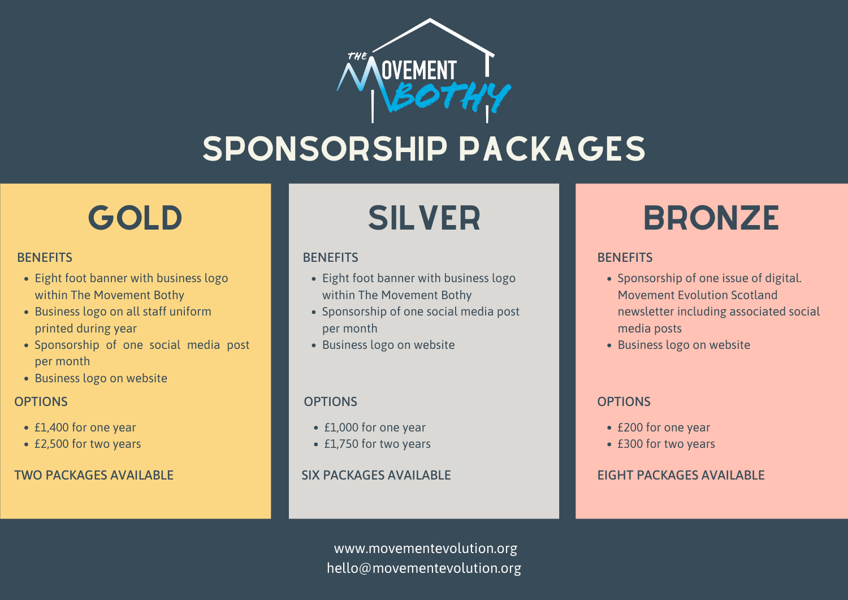# SPONSORSHIP PACKAGES

### **BENEFITS**

- Eight foot banner with business logo within The Movement Bothy
- Business logo on all staff uniform printed during year
- · Sponsorship of one social media post per month
- Business logo on website

### **OPTIONS**

- £1,000 for one year
- £1,750 for two years
- £1,400 for one year
- £2,500 for two years

### TWO PACKAGES AVAILABLE

### **BENEFITS**

- · Eight foot banner with business logo within The Movement Bothy
- Sponsorship of one social media post per month
- Business logo on website

### **OPTIONS**

### SIX PACKAGES AVAILABLE

- £200 for one year
- £300 for two years

### EIGHT PACKAGES AVAILABLE

www.movementevolution.org hello@movementevolution.org

# GOLD **I** SILVER **I** BRONZE

### **BENEFITS**

- Sponsorship of one issue of digital. Movement Evolution Scotland newsletter including associated social media posts
- Business logo on website

### **OPTIONS**